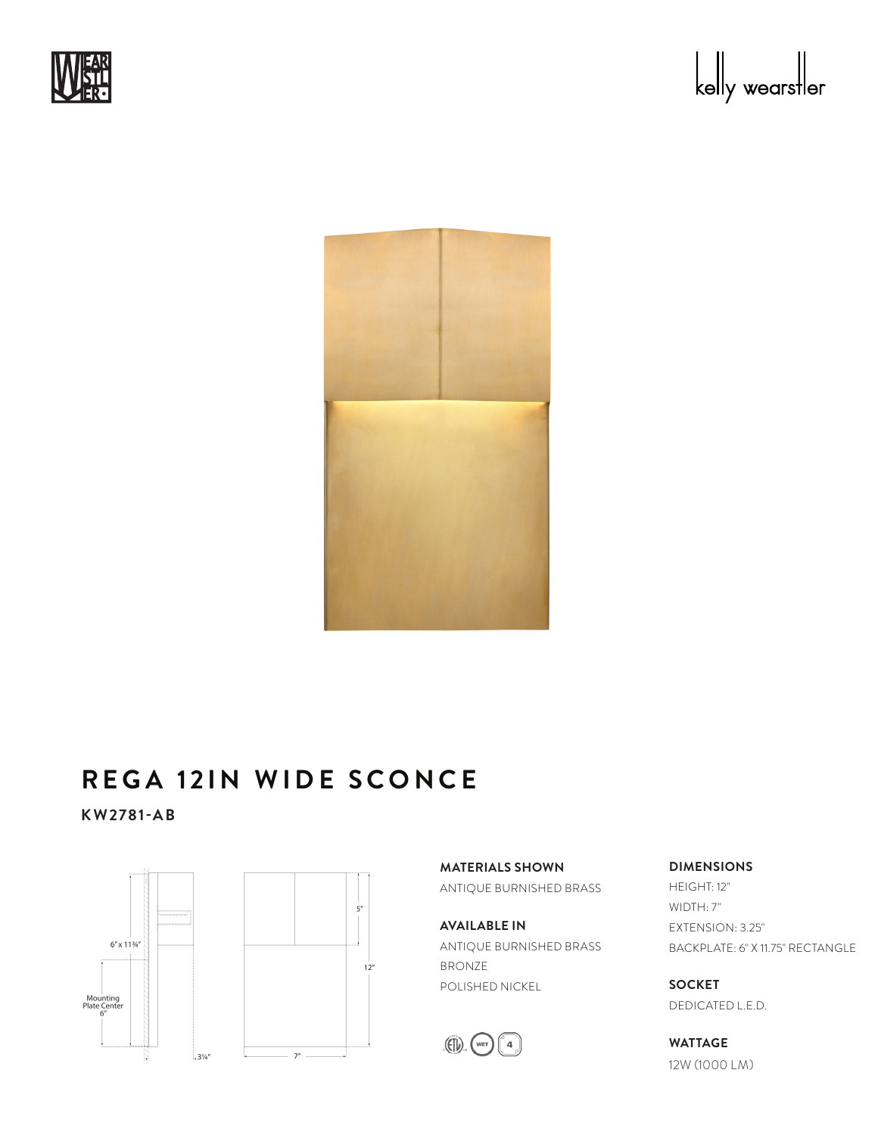





## **REGA 12IN WIDE SCONCE**

**KW2781-AB**



**MATERIALS SHOWN** ANTIQUE BURNISHED BRASS

**AVAILABLE IN** ANTIQUE BURNISHED BRASS BRONZE POLISHED NICKEL



**DIMENSIONS**

HEIGHT: 12" WIDTH: 7" EXTENSION: 3.25" BACKPLATE: 6" X 11.75" RECTANGLE

**SOCKET** DEDICATED L.E.D.

**WATTAGE** 12W (1000 LM)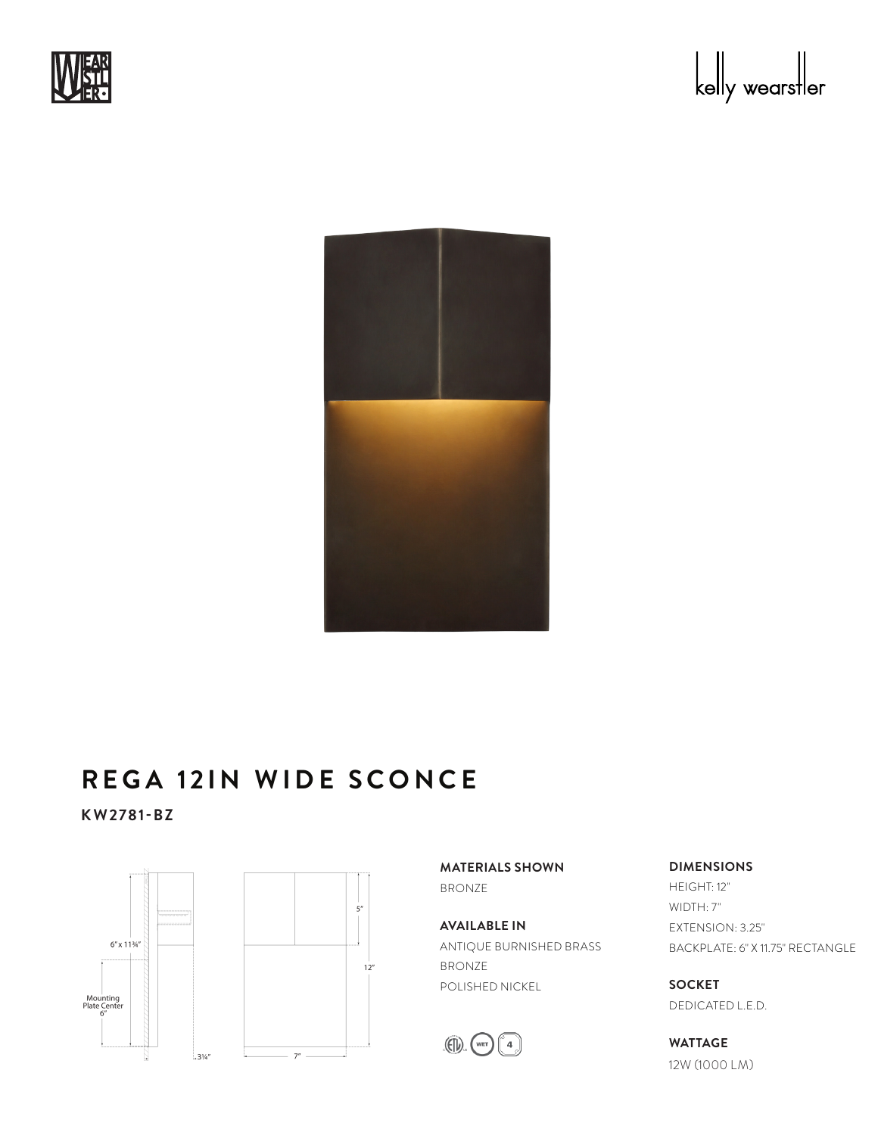





## **REGA 12IN WIDE SCONCE**

**KW2781-BZ**



**MATERIALS SHOWN** BRONZE

**AVAILABLE IN** ANTIQUE BURNISHED BRASS BRONZE POLISHED NICKEL



**DIMENSIONS**

HEIGHT: 12" WIDTH: 7" EXTENSION: 3.25" BACKPLATE: 6" X 11.75" RECTANGLE

**SOCKET** DEDICATED L.E.D.

**WATTAGE** 12W (1000 LM)